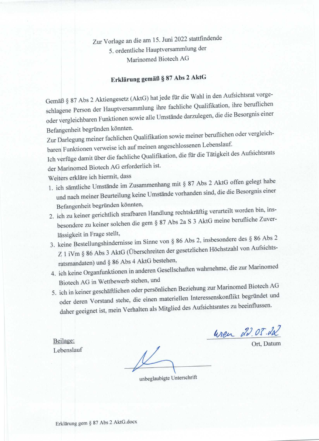Zur Vorlage an die am 15. Juni 2022 stattfindende 5. ordentliche Hauptversammlung der Marinomed Biotech AG

## Erklärung gemäß § 87 Abs 2 AktG

Gemäß § 87 Abs 2 Aktiengesetz (AktG) hat jede für die Wahl in den Aufsichtsrat vorgeschlagene Person der Hauptversammlung ihre fachliche Qualifikation, ihre beruflichen oder vergleichbaren Funktionen sowie alle Umstände darzulegen, die die Besorgnis einer Befangenheit begründen könnten.

Zur Darlegung meiner fachlichen Qualifikation sowie meiner beruflichen oder vergleichbaren Funktionen verweise ich auf meinen angeschlossenen Lebenslauf.

Ich verfüge damit über die fachliche Qualifikation, die für die Tätigkeit des Aufsichtsrats der Marinomed Biotech AG erforderlich ist.

Weiters erkläre ich hiermit, dass

- 1. ich sämtliche Umstände im Zusammenhang mit § 87 Abs 2 AktG offen gelegt habe und nach meiner Beurteilung keine Umstände vorhanden sind, die die Besorgnis einer Befangenheit begründen könnten,
- 2. ich zu keiner gerichtlich strafbaren Handlung rechtskräftig verurteilt worden bin, insbesondere zu keiner solchen die gem § 87 Abs 2a S 3 AktG meine berufliche Zuverlässigkeit in Frage stellt,
- 3. keine Bestellungshindernisse im Sinne von § 86 Abs 2, insbesondere des § 86 Abs 2 Z 1 iVm § 86 Abs 3 AktG (Überschreiten der gesetzlichen Höchstzahl von Aufsichtsratsmandaten) und § 86 Abs 4 AktG bestehen,
- 4. ich keine Organfunktionen in anderen Gesellschaften wahrnehme, die zur Marinomed Biotech AG in Wettbewerb stehen, und
- 5. ich in keiner geschäftlichen oder persönlichen Beziehung zur Marinomed Biotech AG oder deren Vorstand stehe, die einen materiellen Interessenskonflikt begründet und daher geeignet ist, mein Verhalten als Mitglied des Aufsichtsrates zu beeinflussen.

wen 22.05.22

Ort. Datum

Beilage: Lebenslauf

unbeglaubigte Unterschrift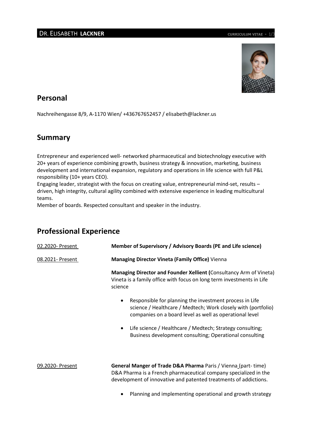

## **Personal**

Nachreihengasse 8/9, A-1170 Wien/ +436767652457 / elisabeth@lackner.us

## **Summary**

Entrepreneur and experienced well- networked pharmaceutical and biotechnology executive with 20+ years of experience combining growth, business strategy & innovation, marketing, business development and international expansion, regulatory and operations in life science with full P&L responsibility (10+ years CEO).

Engaging leader, strategist with the focus on creating value, entrepreneurial mind-set, results – driven, high integrity, cultural agility combined with extensive experience in leading multicultural teams.

Member of boards. Respected consultant and speaker in the industry.

## **Professional Experience**

| 02.2020- Present | Member of Supervisory / Advisory Boards (PE and Life science)                                                                                                                                                    |
|------------------|------------------------------------------------------------------------------------------------------------------------------------------------------------------------------------------------------------------|
| 08.2021- Present | <b>Managing Director Vineta (Family Office)</b> Vienna                                                                                                                                                           |
|                  | Managing Director and Founder Xellient (Consultancy Arm of Vineta)<br>Vineta is a family office with focus on long term investments in Life<br>science                                                           |
|                  | Responsible for planning the investment process in Life<br>$\bullet$<br>science / Healthcare / Medtech; Work closely with (portfolio)<br>companies on a board level as well as operational level                 |
|                  | Life science / Healthcare / Medtech; Strategy consulting;<br>$\bullet$<br>Business development consulting; Operational consulting                                                                                |
| 09.2020- Present | <b>General Manger of Trade D&amp;A Pharma Paris / Vienna (part-time)</b><br>D&A Pharma is a French pharmaceutical company specialized in the<br>development of innovative and patented treatments of addictions. |

Planning and implementing operational and growth strategy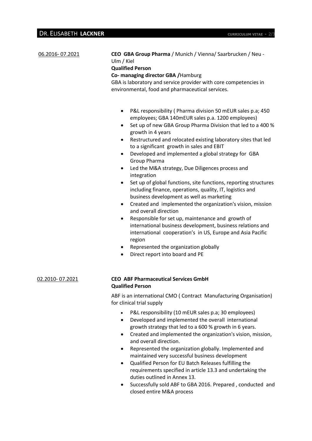| 06.2016-07.2021 | CEO GBA Group Pharma / Munich / Vienna/ Saarbrucken / Neu -<br>Ulm / Kiel<br><b>Qualified Person</b><br>Co- managing director GBA / Hamburg<br>GBA is laboratory and service provider with core competencies in<br>environmental, food and pharmaceutical services.                                                                                                                                                                                                                                                                                                                                                                                                                                                                                                                                                                                                                                                                                                                                                                                                                   |
|-----------------|---------------------------------------------------------------------------------------------------------------------------------------------------------------------------------------------------------------------------------------------------------------------------------------------------------------------------------------------------------------------------------------------------------------------------------------------------------------------------------------------------------------------------------------------------------------------------------------------------------------------------------------------------------------------------------------------------------------------------------------------------------------------------------------------------------------------------------------------------------------------------------------------------------------------------------------------------------------------------------------------------------------------------------------------------------------------------------------|
|                 | P&L responsibility ( Pharma division 50 mEUR sales p.a; 450<br>٠<br>employees; GBA 140mEUR sales p.a. 1200 employees)<br>Set up of new GBA Group Pharma Division that led to a 400 %<br>$\bullet$<br>growth in 4 years<br>Restructured and relocated existing laboratory sites that led<br>$\bullet$<br>to a significant growth in sales and EBIT<br>Developed and implemented a global strategy for GBA<br>$\bullet$<br>Group Pharma<br>Led the M&A strategy, Due Diligences process and<br>٠<br>integration<br>Set up of global functions, site functions, reporting structures<br>including finance, operations, quality, IT, logistics and<br>business development as well as marketing<br>Created and implemented the organization's vision, mission<br>٠<br>and overall direction<br>Responsible for set up, maintenance and growth of<br>٠<br>international business development, business relations and<br>international cooperation's in US, Europe and Asia Pacific<br>region<br>Represented the organization globally<br>$\bullet$<br>Direct report into board and PE<br>٠ |
| 02.2010-07.2021 | <b>CEO ABF Pharmaceutical Services GmbH</b><br><b>Qualified Person</b>                                                                                                                                                                                                                                                                                                                                                                                                                                                                                                                                                                                                                                                                                                                                                                                                                                                                                                                                                                                                                |
|                 | ABF is an international CMO (Contract Manufacturing Organisation)<br>for clinical trial supply                                                                                                                                                                                                                                                                                                                                                                                                                                                                                                                                                                                                                                                                                                                                                                                                                                                                                                                                                                                        |
|                 | P&L responsibility (10 mEUR sales p.a; 30 employees)<br>$\bullet$<br>Developed and implemented the overall international<br>$\bullet$<br>growth strategy that led to a 600 % growth in 6 years.                                                                                                                                                                                                                                                                                                                                                                                                                                                                                                                                                                                                                                                                                                                                                                                                                                                                                       |

- Created and implemented the organization'[s vision,](http://humanresources.about.com/od/glossaryv/g/Vision.htm) [mission,](http://humanresources.about.com/od/glossarym/g/Mission.htm) and overall direction.
- Represented the organization globally. Implemented and maintained very successful business development
- Qualified Person for EU Batch Releases fulfilling the requirements specified in article 13.3 and undertaking the duties outlined in Annex 13.
- Successfully sold ABF to GBA 2016. Prepared , conducted and closed entire M&A process